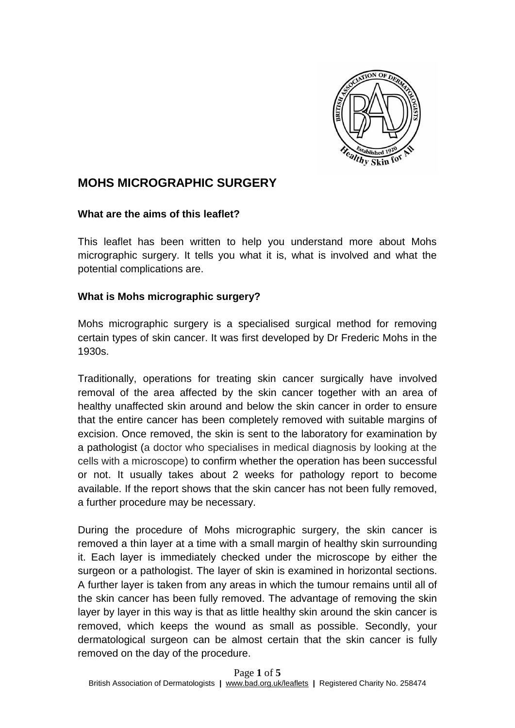

# **MOHS MICROGRAPHIC SURGERY**

#### **What are the aims of this leaflet?**

This leaflet has been written to help you understand more about Mohs micrographic surgery. It tells you what it is, what is involved and what the potential complications are.

## **What is Mohs micrographic surgery?**

Mohs micrographic surgery is a specialised surgical method for removing certain types of skin cancer. It was first developed by Dr Frederic Mohs in the 1930s.

Traditionally, operations for treating skin cancer surgically have involved removal of the area affected by the skin cancer together with an area of healthy unaffected skin around and below the skin cancer in order to ensure that the entire cancer has been completely removed with suitable margins of excision. Once removed, the skin is sent to the laboratory for examination by a pathologist (a doctor who specialises in medical diagnosis by looking at the cells with a microscope) to confirm whether the operation has been successful or not. It usually takes about 2 weeks for pathology report to become available. If the report shows that the skin cancer has not been fully removed, a further procedure may be necessary.

During the procedure of Mohs micrographic surgery, the skin cancer is removed a thin layer at a time with a small margin of healthy skin surrounding it. Each layer is immediately checked under the microscope by either the surgeon or a pathologist. The layer of skin is examined in horizontal sections. A further layer is taken from any areas in which the tumour remains until all of the skin cancer has been fully removed. The advantage of removing the skin layer by layer in this way is that as little healthy skin around the skin cancer is removed, which keeps the wound as small as possible. Secondly, your dermatological surgeon can be almost certain that the skin cancer is fully removed on the day of the procedure.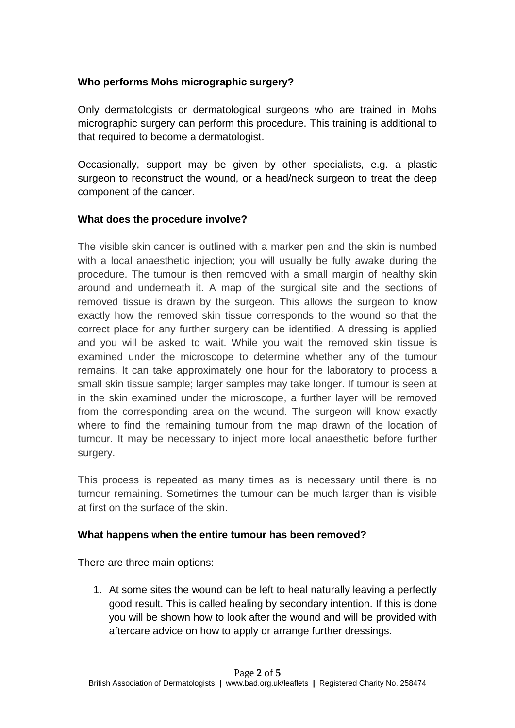## **Who performs Mohs micrographic surgery?**

Only dermatologists or dermatological surgeons who are trained in Mohs micrographic surgery can perform this procedure. This training is additional to that required to become a dermatologist.

Occasionally, support may be given by other specialists, e.g. a plastic surgeon to reconstruct the wound, or a head/neck surgeon to treat the deep component of the cancer.

## **What does the procedure involve?**

The visible skin cancer is outlined with a marker pen and the skin is numbed with a local anaesthetic injection; you will usually be fully awake during the procedure. The tumour is then removed with a small margin of healthy skin around and underneath it. A map of the surgical site and the sections of removed tissue is drawn by the surgeon. This allows the surgeon to know exactly how the removed skin tissue corresponds to the wound so that the correct place for any further surgery can be identified. A dressing is applied and you will be asked to wait. While you wait the removed skin tissue is examined under the microscope to determine whether any of the tumour remains. It can take approximately one hour for the laboratory to process a small skin tissue sample; larger samples may take longer. If tumour is seen at in the skin examined under the microscope, a further layer will be removed from the corresponding area on the wound. The surgeon will know exactly where to find the remaining tumour from the map drawn of the location of tumour. It may be necessary to inject more local anaesthetic before further surgery.

This process is repeated as many times as is necessary until there is no tumour remaining. Sometimes the tumour can be much larger than is visible at first on the surface of the skin.

## **What happens when the entire tumour has been removed?**

There are three main options:

1. At some sites the wound can be left to heal naturally leaving a perfectly good result. This is called healing by secondary intention. If this is done you will be shown how to look after the wound and will be provided with aftercare advice on how to apply or arrange further dressings.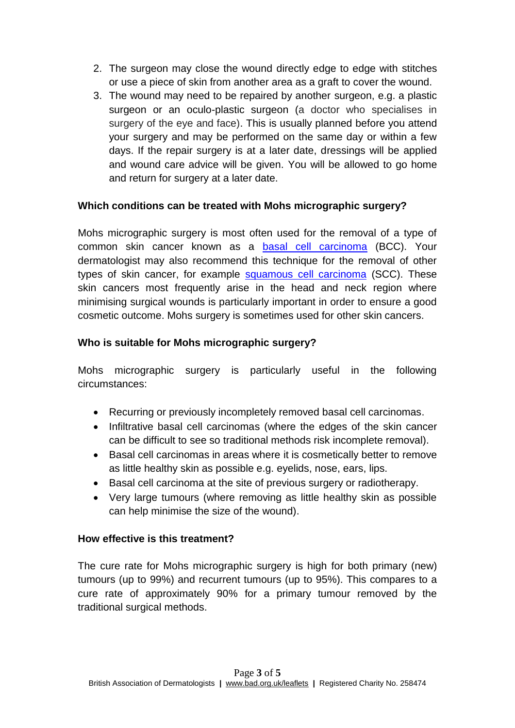- 2. The surgeon may close the wound directly edge to edge with stitches or use a piece of skin from another area as a graft to cover the wound.
- 3. The wound may need to be repaired by another surgeon, e.g. a plastic surgeon or an oculo-plastic surgeon (a doctor who specialises in surgery of the eye and face). This is usually planned before you attend your surgery and may be performed on the same day or within a few days. If the repair surgery is at a later date, dressings will be applied and wound care advice will be given. You will be allowed to go home and return for surgery at a later date.

## **Which conditions can be treated with Mohs micrographic surgery?**

Mohs micrographic surgery is most often used for the removal of a type of common skin cancer known as a [basal cell carcinoma](http://www.bad.org.uk/for-the-public/patient-information-leaflets/basal-cell-carcinoma) (BCC). Your dermatologist may also recommend this technique for the removal of other types of skin cancer, for example [squamous cell carcinoma](http://www.bad.org.uk/for-the-public/patient-information-leaflets/squamous-cell-carcinoma) (SCC). These skin cancers most frequently arise in the head and neck region where minimising surgical wounds is particularly important in order to ensure a good cosmetic outcome. Mohs surgery is sometimes used for other skin cancers.

## **Who is suitable for Mohs micrographic surgery?**

Mohs micrographic surgery is particularly useful in the following circumstances:

- Recurring or previously incompletely removed basal cell carcinomas.
- Infiltrative basal cell carcinomas (where the edges of the skin cancer can be difficult to see so traditional methods risk incomplete removal).
- Basal cell carcinomas in areas where it is cosmetically better to remove as little healthy skin as possible e.g. eyelids, nose, ears, lips.
- Basal cell carcinoma at the site of previous surgery or radiotherapy.
- Very large tumours (where removing as little healthy skin as possible can help minimise the size of the wound).

## **How effective is this treatment?**

The cure rate for Mohs micrographic surgery is high for both primary (new) tumours (up to 99%) and recurrent tumours (up to 95%). This compares to a cure rate of approximately 90% for a primary tumour removed by the traditional surgical methods.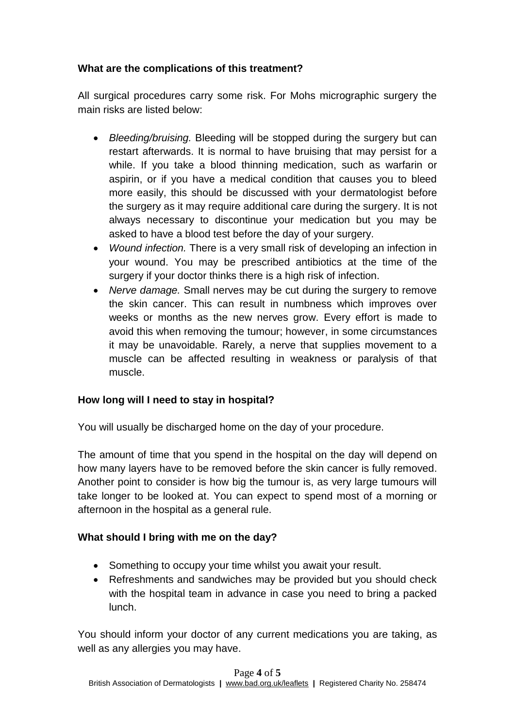# **What are the complications of this treatment?**

All surgical procedures carry some risk. For Mohs micrographic surgery the main risks are listed below:

- *Bleeding/bruising.* Bleeding will be stopped during the surgery but can restart afterwards. It is normal to have bruising that may persist for a while. If you take a blood thinning medication, such as warfarin or aspirin, or if you have a medical condition that causes you to bleed more easily, this should be discussed with your dermatologist before the surgery as it may require additional care during the surgery. It is not always necessary to discontinue your medication but you may be asked to have a blood test before the day of your surgery.
- *Wound infection.* There is a very small risk of developing an infection in your wound. You may be prescribed antibiotics at the time of the surgery if your doctor thinks there is a high risk of infection.
- *Nerve damage.* Small nerves may be cut during the surgery to remove the skin cancer. This can result in numbness which improves over weeks or months as the new nerves grow. Every effort is made to avoid this when removing the tumour; however, in some circumstances it may be unavoidable. Rarely, a nerve that supplies movement to a muscle can be affected resulting in weakness or paralysis of that muscle.

## **How long will I need to stay in hospital?**

You will usually be discharged home on the day of your procedure.

The amount of time that you spend in the hospital on the day will depend on how many layers have to be removed before the skin cancer is fully removed. Another point to consider is how big the tumour is, as very large tumours will take longer to be looked at. You can expect to spend most of a morning or afternoon in the hospital as a general rule.

## **What should I bring with me on the day?**

- Something to occupy your time whilst you await your result.
- Refreshments and sandwiches may be provided but you should check with the hospital team in advance in case you need to bring a packed lunch.

You should inform your doctor of any current medications you are taking, as well as any allergies you may have.